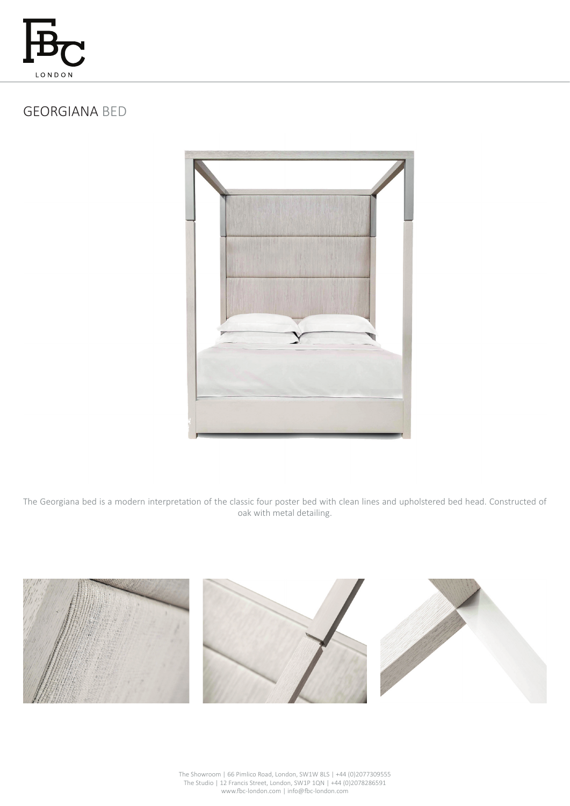

# GEORGIANA BED



The Georgiana bed is a modern interpretation of the classic four poster bed with clean lines and upholstered bed head. Constructed of oak with metal detailing.